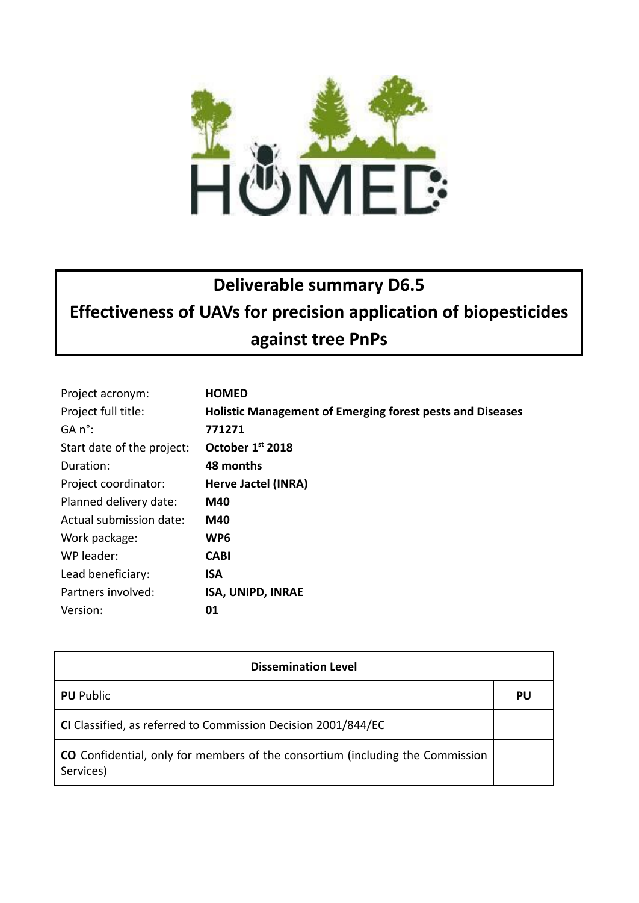

## **Deliverable summary D6.5 Effectiveness of UAVs for precision application of biopesticides against tree PnPs**

| Project acronym:           | <b>HOMED</b>                                                     |
|----------------------------|------------------------------------------------------------------|
| Project full title:        | <b>Holistic Management of Emerging forest pests and Diseases</b> |
| GA n°:                     | 771271                                                           |
| Start date of the project: | October 1st 2018                                                 |
| Duration:                  | 48 months                                                        |
| Project coordinator:       | Herve Jactel (INRA)                                              |
| Planned delivery date:     | M40                                                              |
| Actual submission date:    | M40                                                              |
| Work package:              | WP <sub>6</sub>                                                  |
| WP leader:                 | <b>CABI</b>                                                      |
| Lead beneficiary:          | <b>ISA</b>                                                       |
| Partners involved:         | <b>ISA, UNIPD, INRAE</b>                                         |
| Version:                   | 01                                                               |

| <b>Dissemination Level</b>                                                                        |    |  |
|---------------------------------------------------------------------------------------------------|----|--|
| <b>PU</b> Public                                                                                  | PU |  |
| CI Classified, as referred to Commission Decision 2001/844/EC                                     |    |  |
| <b>CO</b> Confidential, only for members of the consortium (including the Commission<br>Services) |    |  |